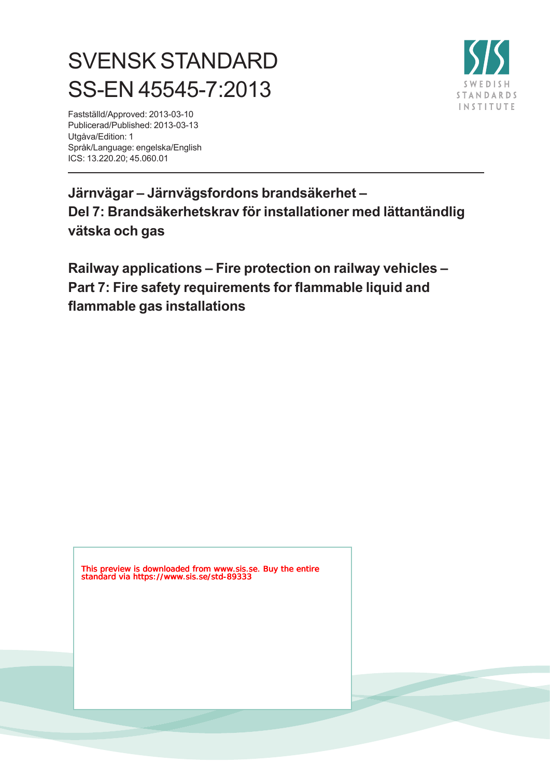# SVENSK STANDARD SS-EN 45545-7:2013

**STANDARDS INSTITUTE** 

Fastställd/Approved: 2013-03-10 Publicerad/Published: 2013-03-13 Utgåva/Edition: 1 Språk/Language: engelska/English ICS: 13.220.20; 45.060.01

**Järnvägar – Järnvägsfordons brandsäkerhet – Del 7: Brandsäkerhetskrav för installationer med lättantändlig vätska och gas**

**Railway applications – Fire protection on railway vehicles – Part 7: Fire safety requirements for flammable liquid and flammable gas installations**

This preview is downloaded from www.sis.se. Buy the entire standard via https://www.sis.se/std-89333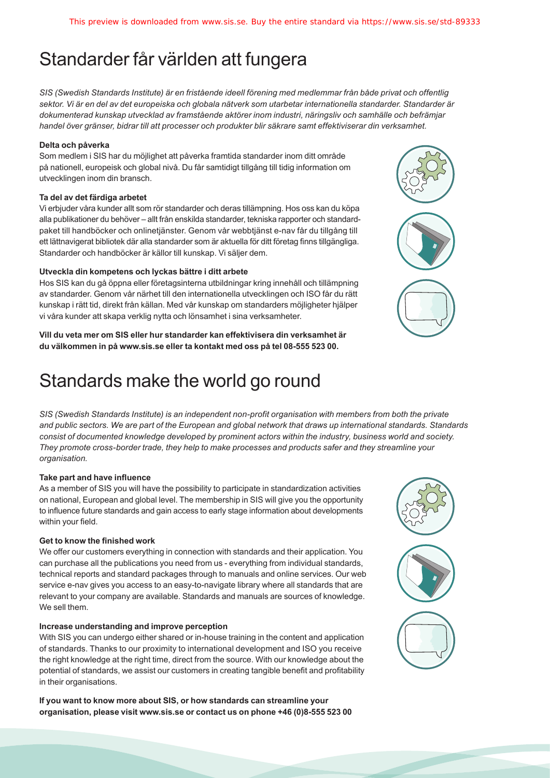## Standarder får världen att fungera

*SIS (Swedish Standards Institute) är en fristående ideell förening med medlemmar från både privat och offentlig sektor. Vi är en del av det europeiska och globala nätverk som utarbetar internationella standarder. Standarder är dokumenterad kunskap utvecklad av framstående aktörer inom industri, näringsliv och samhälle och befrämjar handel över gränser, bidrar till att processer och produkter blir säkrare samt effektiviserar din verksamhet.* 

#### **Delta och påverka**

Som medlem i SIS har du möjlighet att påverka framtida standarder inom ditt område på nationell, europeisk och global nivå. Du får samtidigt tillgång till tidig information om utvecklingen inom din bransch.

### **Ta del av det färdiga arbetet**

Vi erbjuder våra kunder allt som rör standarder och deras tillämpning. Hos oss kan du köpa alla publikationer du behöver – allt från enskilda standarder, tekniska rapporter och standardpaket till handböcker och onlinetjänster. Genom vår webbtjänst e-nav får du tillgång till ett lättnavigerat bibliotek där alla standarder som är aktuella för ditt företag finns tillgängliga. Standarder och handböcker är källor till kunskap. Vi säljer dem.

### **Utveckla din kompetens och lyckas bättre i ditt arbete**

Hos SIS kan du gå öppna eller företagsinterna utbildningar kring innehåll och tillämpning av standarder. Genom vår närhet till den internationella utvecklingen och ISO får du rätt kunskap i rätt tid, direkt från källan. Med vår kunskap om standarders möjligheter hjälper vi våra kunder att skapa verklig nytta och lönsamhet i sina verksamheter.

**Vill du veta mer om SIS eller hur standarder kan effektivisera din verksamhet är du välkommen in på www.sis.se eller ta kontakt med oss på tel 08-555 523 00.**

## Standards make the world go round

*SIS (Swedish Standards Institute) is an independent non-profit organisation with members from both the private and public sectors. We are part of the European and global network that draws up international standards. Standards consist of documented knowledge developed by prominent actors within the industry, business world and society. They promote cross-border trade, they help to make processes and products safer and they streamline your organisation.*

### **Take part and have influence**

As a member of SIS you will have the possibility to participate in standardization activities on national, European and global level. The membership in SIS will give you the opportunity to influence future standards and gain access to early stage information about developments within your field.

#### **Get to know the finished work**

We offer our customers everything in connection with standards and their application. You can purchase all the publications you need from us - everything from individual standards, technical reports and standard packages through to manuals and online services. Our web service e-nav gives you access to an easy-to-navigate library where all standards that are relevant to your company are available. Standards and manuals are sources of knowledge. We sell them.

#### **Increase understanding and improve perception**

With SIS you can undergo either shared or in-house training in the content and application of standards. Thanks to our proximity to international development and ISO you receive the right knowledge at the right time, direct from the source. With our knowledge about the potential of standards, we assist our customers in creating tangible benefit and profitability in their organisations.

**If you want to know more about SIS, or how standards can streamline your organisation, please visit www.sis.se or contact us on phone +46 (0)8-555 523 00**



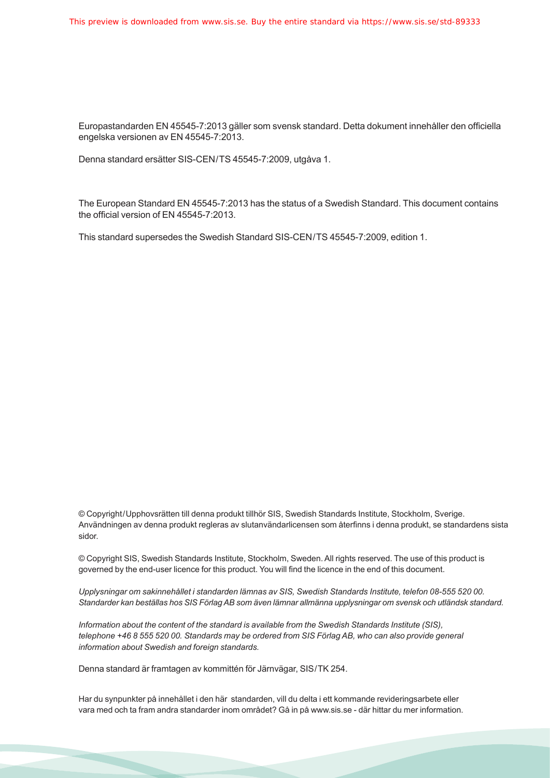Europastandarden EN 45545-7:2013 gäller som svensk standard. Detta dokument innehåller den officiella engelska versionen av EN 45545-7:2013.

Denna standard ersätter SIS-CEN / TS 45545-7:2009, utgåva 1.

The European Standard EN 45545-7:2013 has the status of a Swedish Standard. This document contains the official version of EN 45545-7:2013.

This standard supersedes the Swedish Standard SIS-CEN / TS 45545-7:2009, edition 1.

© Copyright / Upphovsrätten till denna produkt tillhör SIS, Swedish Standards Institute, Stockholm, Sverige. Användningen av denna produkt regleras av slutanvändarlicensen som återfinns i denna produkt, se standardens sista sidor.

© Copyright SIS, Swedish Standards Institute, Stockholm, Sweden. All rights reserved. The use of this product is governed by the end-user licence for this product. You will find the licence in the end of this document.

*Upplysningar om sakinnehållet i standarden lämnas av SIS, Swedish Standards Institute, telefon 08-555 520 00. Standarder kan beställas hos SIS Förlag AB som även lämnar allmänna upplysningar om svensk och utländsk standard.*

*Information about the content of the standard is available from the Swedish Standards Institute (SIS), telephone +46 8 555 520 00. Standards may be ordered from SIS Förlag AB, who can also provide general information about Swedish and foreign standards.*

Denna standard är framtagen av kommittén för Järnvägar, SIS / TK 254.

Har du synpunkter på innehållet i den här standarden, vill du delta i ett kommande revideringsarbete eller vara med och ta fram andra standarder inom området? Gå in på www.sis.se - där hittar du mer information.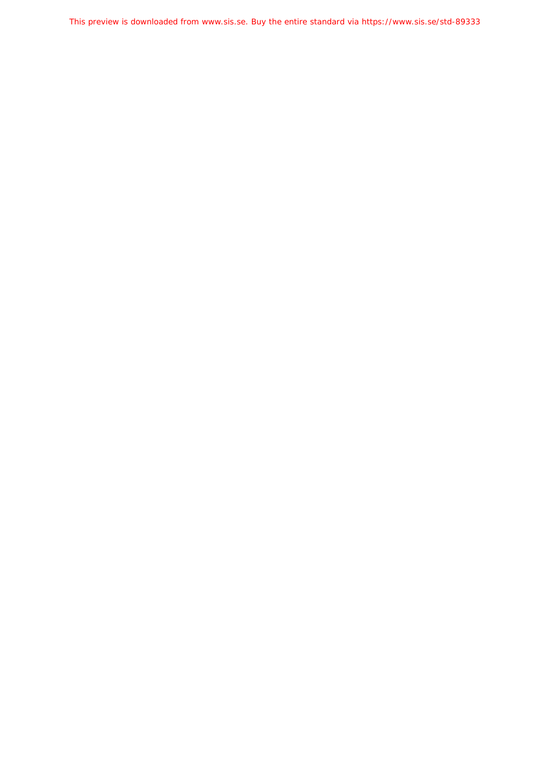This preview is downloaded from www.sis.se. Buy the entire standard via https://www.sis.se/std-89333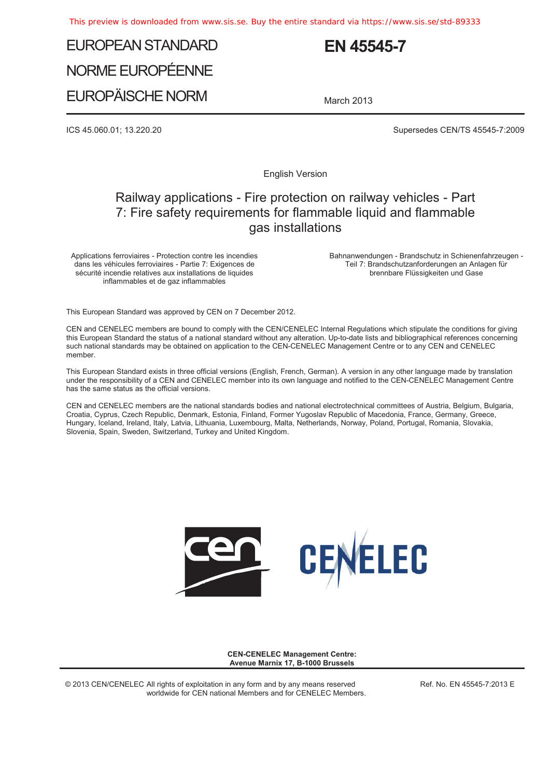This preview is downloaded from www.sis.se. Buy the entire standard via https://www.sis.se/std-89333

## EUROPEAN STANDARD

## **EN 45545-7**

NORME EUROPÉENNE EUROPÄISCHE NORM

March 2013

ICS 45.060.01; 13.220.20 Supersedes CEN/TS 45545-7:2009

English Version

### Railway applications - Fire protection on railway vehicles - Part 7: Fire safety requirements for flammable liquid and flammable gas installations

Applications ferroviaires - Protection contre les incendies dans les véhicules ferroviaires - Partie 7: Exigences de sécurité incendie relatives aux installations de liquides inflammables et de gaz inflammables

Bahnanwendungen - Brandschutz in Schienenfahrzeugen - Teil 7: Brandschutzanforderungen an Anlagen für brennbare Flüssigkeiten und Gase

This European Standard was approved by CEN on 7 December 2012.

CEN and CENELEC members are bound to comply with the CEN/CENELEC Internal Regulations which stipulate the conditions for giving this European Standard the status of a national standard without any alteration. Up-to-date lists and bibliographical references concerning such national standards may be obtained on application to the CEN-CENELEC Management Centre or to any CEN and CENELEC member.

This European Standard exists in three official versions (English, French, German). A version in any other language made by translation under the responsibility of a CEN and CENELEC member into its own language and notified to the CEN-CENELEC Management Centre has the same status as the official versions.

CEN and CENELEC members are the national standards bodies and national electrotechnical committees of Austria, Belgium, Bulgaria, Croatia, Cyprus, Czech Republic, Denmark, Estonia, Finland, Former Yugoslav Republic of Macedonia, France, Germany, Greece, Hungary, Iceland, Ireland, Italy, Latvia, Lithuania, Luxembourg, Malta, Netherlands, Norway, Poland, Portugal, Romania, Slovakia, Slovenia, Spain, Sweden, Switzerland, Turkey and United Kingdom.



**CEN-CENELEC Management Centre: Avenue Marnix 17, B-1000 Brussels**

© 2013 CEN/CENELEC All rights of exploitation in any form and by any means reserved worldwide for CEN national Members and for CENELEC Members. Ref. No. EN 45545-7:2013 E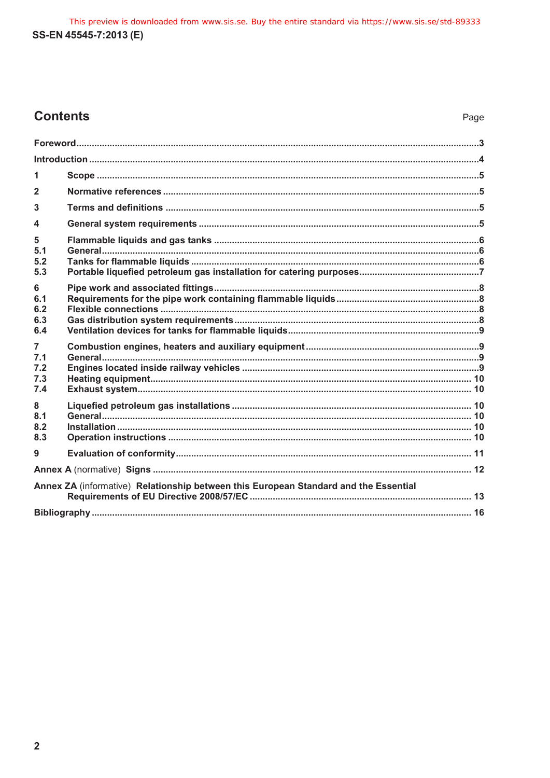This preview is downloaded from www.sis.se. Buy the entire standard via https://www.sis.se/std-89333 SS-EN 45545-7:2013 (E)

### **Contents**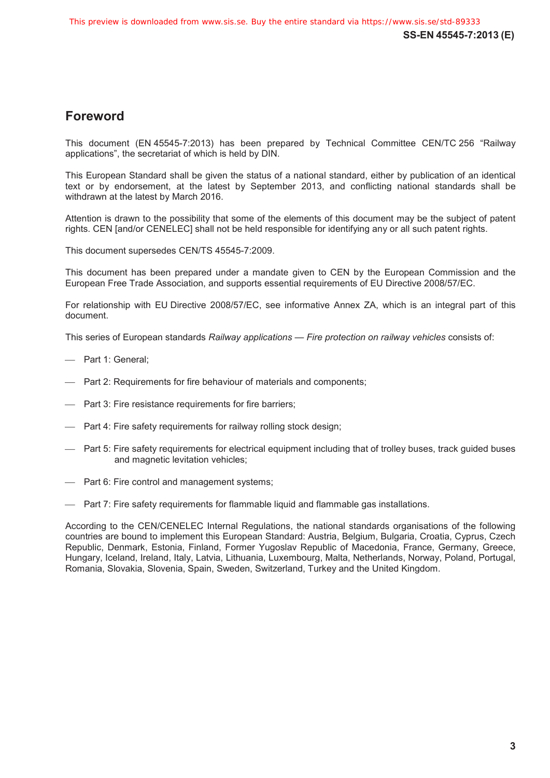### **Foreword**

This document (EN 45545-7:2013) has been prepared by Technical Committee CEN/TC 256 "Railway applications", the secretariat of which is held by DIN.

This European Standard shall be given the status of a national standard, either by publication of an identical text or by endorsement, at the latest by September 2013, and conflicting national standards shall be withdrawn at the latest by March 2016.

Attention is drawn to the possibility that some of the elements of this document may be the subject of patent rights. CEN [and/or CENELEC] shall not be held responsible for identifying any or all such patent rights.

This document supersedes CEN/TS 45545-7:2009.

This document has been prepared under a mandate given to CEN by the European Commission and the European Free Trade Association, and supports essential requirements of EU Directive 2008/57/EC.

For relationship with EU Directive 2008/57/EC, see informative Annex ZA, which is an integral part of this document.

This series of European standards *Railway applications — Fire protection on railway vehicles* consists of:

- Part 1: General;
- Part 2: Requirements for fire behaviour of materials and components;
- Part 3: Fire resistance requirements for fire barriers:
- Part 4: Fire safety requirements for railway rolling stock design;
- Part 5: Fire safety requirements for electrical equipment including that of trolley buses, track guided buses and magnetic levitation vehicles;
- Part 6: Fire control and management systems;
- Part 7: Fire safety requirements for flammable liquid and flammable gas installations.

According to the CEN/CENELEC Internal Regulations, the national standards organisations of the following countries are bound to implement this European Standard: Austria, Belgium, Bulgaria, Croatia, Cyprus, Czech Republic, Denmark, Estonia, Finland, Former Yugoslav Republic of Macedonia, France, Germany, Greece, Hungary, Iceland, Ireland, Italy, Latvia, Lithuania, Luxembourg, Malta, Netherlands, Norway, Poland, Portugal, Romania, Slovakia, Slovenia, Spain, Sweden, Switzerland, Turkey and the United Kingdom.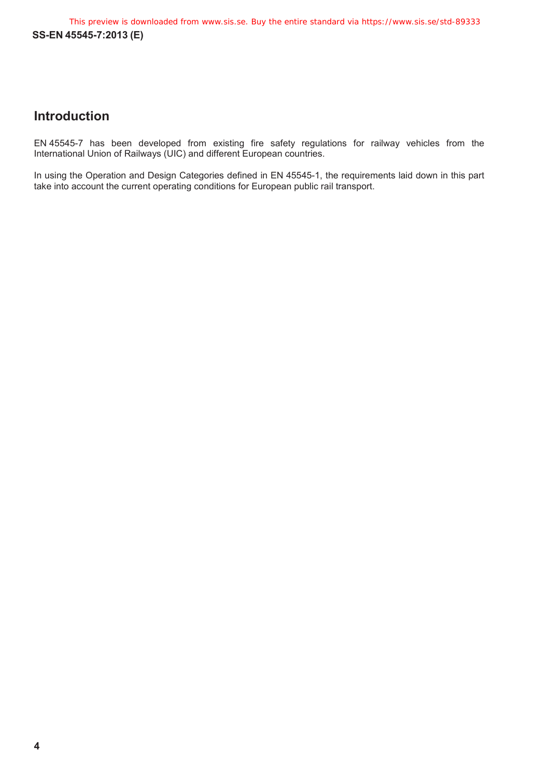### **Introduction**

EN 45545-7 has been developed from existing fire safety regulations for railway vehicles from the International Union of Railways (UIC) and different European countries.

In using the Operation and Design Categories defined in EN 45545-1, the requirements laid down in this part take into account the current operating conditions for European public rail transport.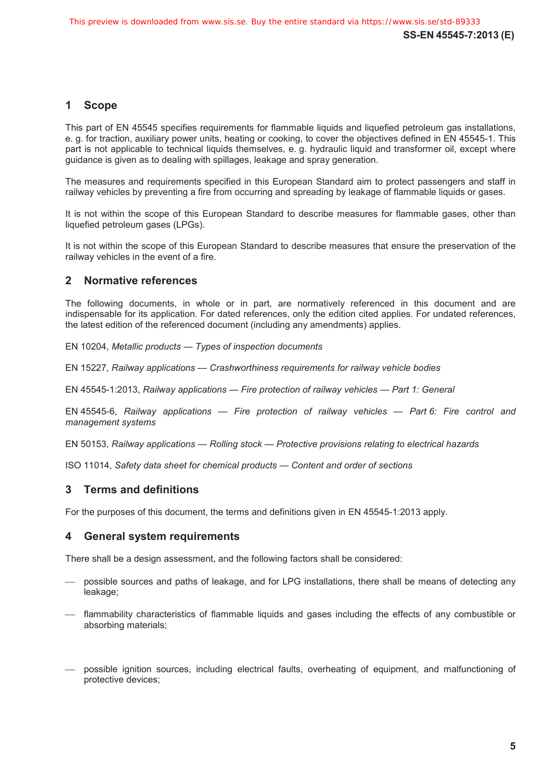### **1 Scope**

This part of EN 45545 specifies requirements for flammable liquids and liquefied petroleum gas installations, e. g. for traction, auxiliary power units, heating or cooking, to cover the objectives defined in EN 45545-1. This part is not applicable to technical liquids themselves, e. g. hydraulic liquid and transformer oil, except where guidance is given as to dealing with spillages, leakage and spray generation.

The measures and requirements specified in this European Standard aim to protect passengers and staff in railway vehicles by preventing a fire from occurring and spreading by leakage of flammable liquids or gases.

It is not within the scope of this European Standard to describe measures for flammable gases, other than liquefied petroleum gases (LPGs).

It is not within the scope of this European Standard to describe measures that ensure the preservation of the railway vehicles in the event of a fire.

### **2 Normative references**

The following documents, in whole or in part, are normatively referenced in this document and are indispensable for its application. For dated references, only the edition cited applies. For undated references, the latest edition of the referenced document (including any amendments) applies.

EN 10204, *Metallic products — Types of inspection documents*

EN 15227, *Railway applications — Crashworthiness requirements for railway vehicle bodies*

EN 45545-1:2013, *Railway applications — Fire protection of railway vehicles — Part 1: General*

EN 45545-6, *Railway applications — Fire protection of railway vehicles — Part 6: Fire control and management systems*

EN 50153, *Railway applications — Rolling stock — Protective provisions relating to electrical hazards*

ISO 11014, *Safety data sheet for chemical products — Content and order of sections*

### **3 Terms and definitions**

For the purposes of this document, the terms and definitions given in EN 45545-1:2013 apply.

### **4 General system requirements**

There shall be a design assessment, and the following factors shall be considered:

- possible sources and paths of leakage, and for LPG installations, there shall be means of detecting any leakage;
- flammability characteristics of flammable liquids and gases including the effects of any combustible or absorbing materials;
- possible ignition sources, including electrical faults, overheating of equipment, and malfunctioning of protective devices;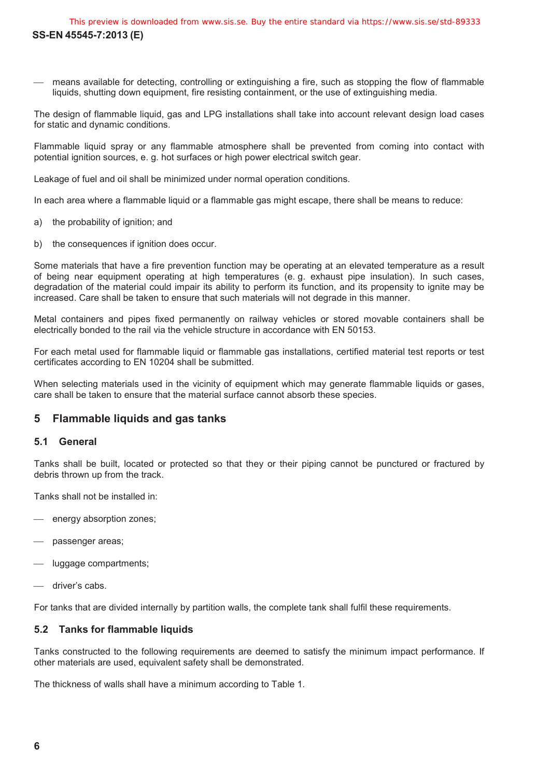means available for detecting, controlling or extinguishing a fire, such as stopping the flow of flammable liquids, shutting down equipment, fire resisting containment, or the use of extinguishing media.

The design of flammable liquid, gas and LPG installations shall take into account relevant design load cases for static and dynamic conditions.

Flammable liquid spray or any flammable atmosphere shall be prevented from coming into contact with potential ignition sources, e. g. hot surfaces or high power electrical switch gear.

Leakage of fuel and oil shall be minimized under normal operation conditions.

In each area where a flammable liquid or a flammable gas might escape, there shall be means to reduce:

- a) the probability of ignition; and
- b) the consequences if ignition does occur.

Some materials that have a fire prevention function may be operating at an elevated temperature as a result of being near equipment operating at high temperatures (e. g. exhaust pipe insulation). In such cases, degradation of the material could impair its ability to perform its function, and its propensity to ignite may be increased. Care shall be taken to ensure that such materials will not degrade in this manner.

Metal containers and pipes fixed permanently on railway vehicles or stored movable containers shall be electrically bonded to the rail via the vehicle structure in accordance with EN 50153.

For each metal used for flammable liquid or flammable gas installations, certified material test reports or test certificates according to EN 10204 shall be submitted.

When selecting materials used in the vicinity of equipment which may generate flammable liquids or gases, care shall be taken to ensure that the material surface cannot absorb these species.

### **5 Flammable liquids and gas tanks**

### **5.1 General**

Tanks shall be built, located or protected so that they or their piping cannot be punctured or fractured by debris thrown up from the track.

Tanks shall not be installed in:

- energy absorption zones;
- passenger areas;
- luggage compartments;
- driver's cabs.

For tanks that are divided internally by partition walls, the complete tank shall fulfil these requirements.

### **5.2 Tanks for flammable liquids**

Tanks constructed to the following requirements are deemed to satisfy the minimum impact performance. If other materials are used, equivalent safety shall be demonstrated.

The thickness of walls shall have a minimum according to Table 1.